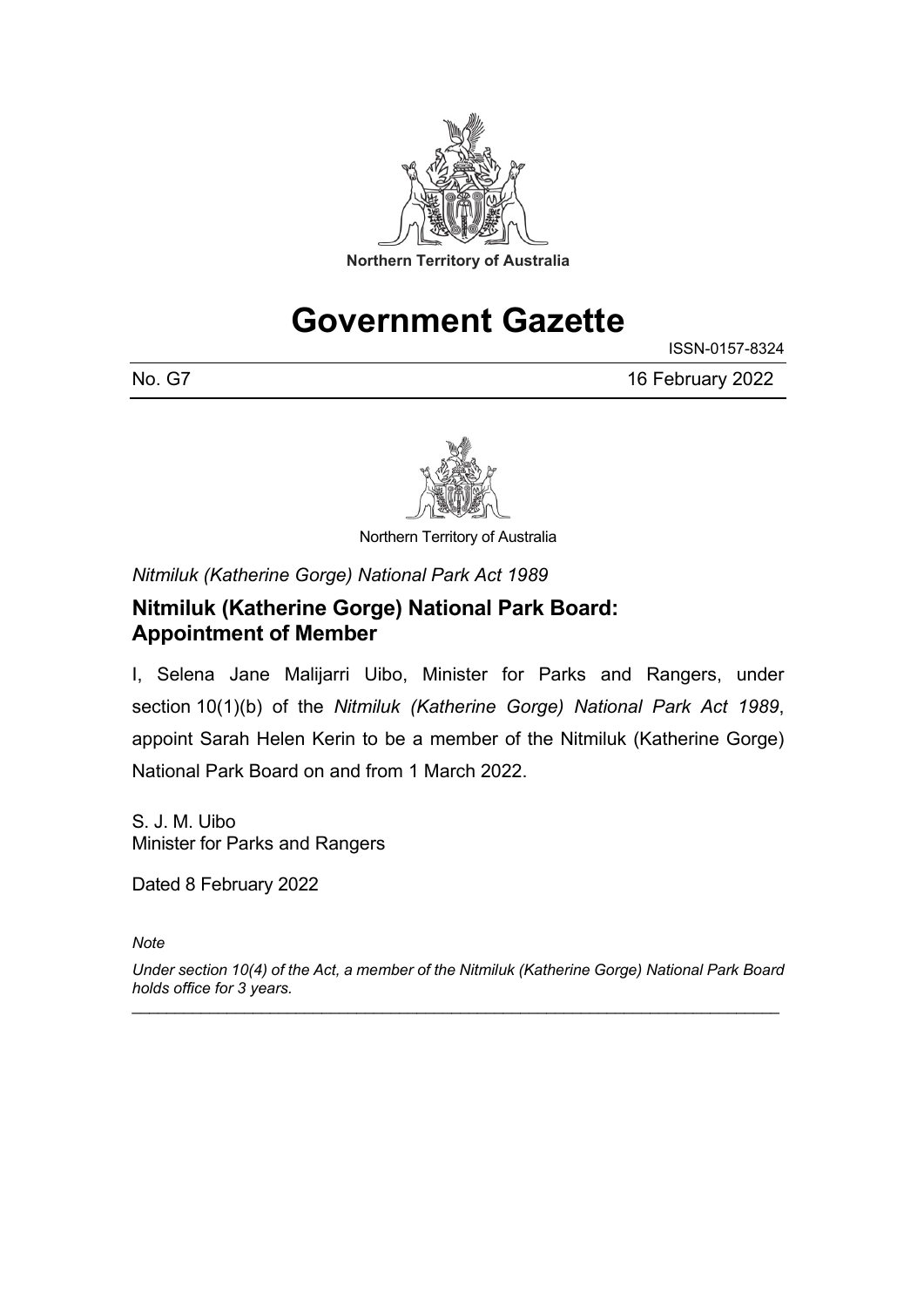

# **Government Gazette**

ISSN-0157-8324

No. G7 16 February 2022



Northern Territory of Australia

*Nitmiluk (Katherine Gorge) National Park Act 1989*

### **Nitmiluk (Katherine Gorge) National Park Board: Appointment of Member**

I, Selena Jane Malijarri Uibo, Minister for Parks and Rangers, under section 10(1)(b) of the *Nitmiluk (Katherine Gorge) National Park Act 1989*, appoint Sarah Helen Kerin to be a member of the Nitmiluk (Katherine Gorge) National Park Board on and from 1 March 2022.

S. J. M. Uibo Minister for Parks and Rangers

Dated 8 February 2022

*Note*

*Under section 10(4) of the Act, a member of the Nitmiluk (Katherine Gorge) National Park Board holds office for 3 years.* \_\_\_\_\_\_\_\_\_\_\_\_\_\_\_\_\_\_\_\_\_\_\_\_\_\_\_\_\_\_\_\_\_\_\_\_\_\_\_\_\_\_\_\_\_\_\_\_\_\_\_\_\_\_\_\_\_\_\_\_\_\_\_\_\_\_\_\_\_\_\_\_\_\_\_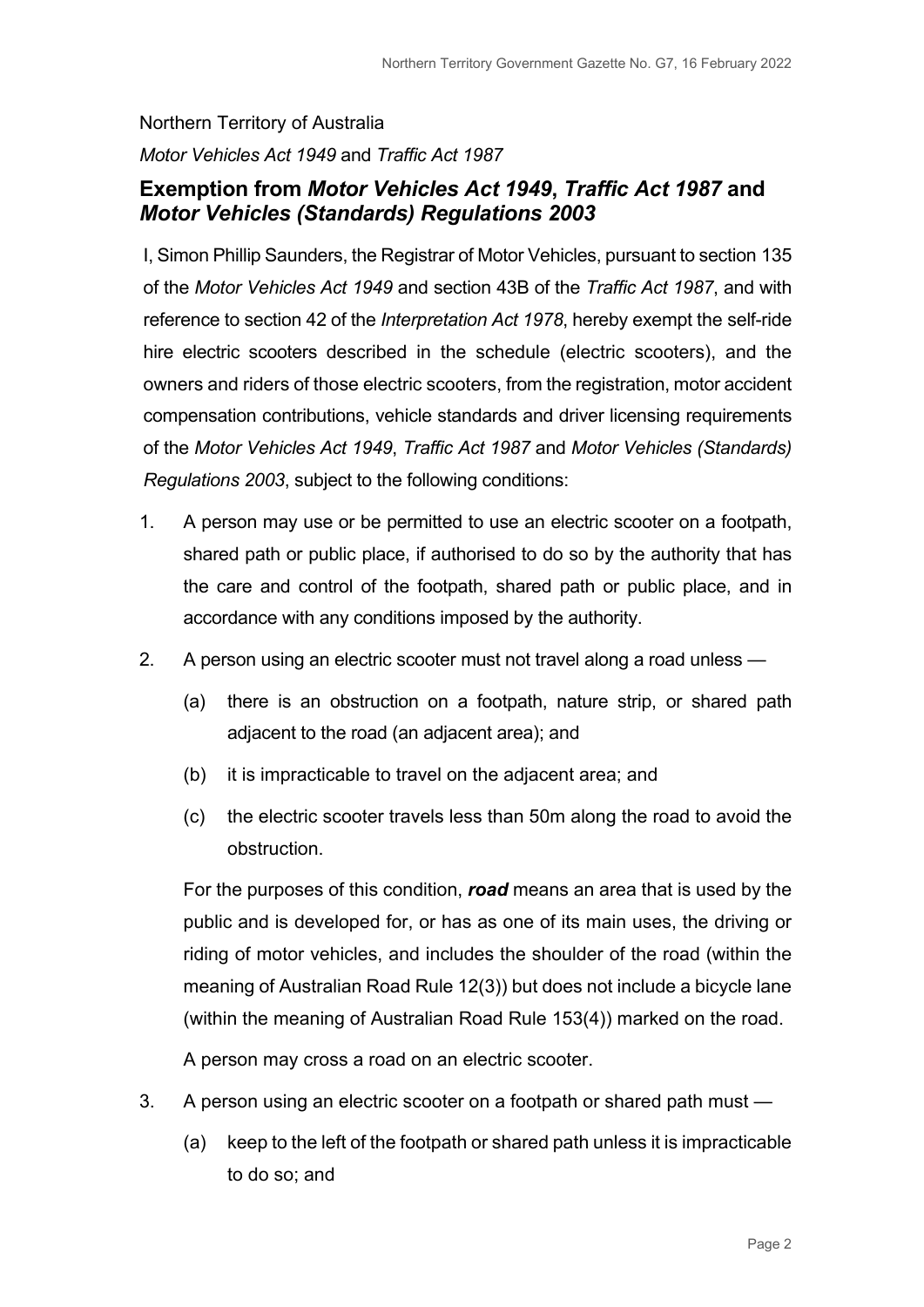# Northern Territory of Australia *Motor Vehicles Act 1949* and *Traffic Act 1987*

### **Exemption from** *Motor Vehicles Act 1949***,** *Traffic Act 1987* **and**  *Motor Vehicles (Standards) Regulations 2003*

I, Simon Phillip Saunders, the Registrar of Motor Vehicles, pursuant to section 135 of the *Motor Vehicles Act 1949* and section 43B of the *Traffic Act 1987*, and with reference to section 42 of the *Interpretation Act 1978*, hereby exempt the self-ride hire electric scooters described in the schedule (electric scooters), and the owners and riders of those electric scooters, from the registration, motor accident compensation contributions, vehicle standards and driver licensing requirements of the *Motor Vehicles Act 1949*, *Traffic Act 1987* and *Motor Vehicles (Standards) Regulations 2003*, subject to the following conditions:

- 1. A person may use or be permitted to use an electric scooter on a footpath, shared path or public place, if authorised to do so by the authority that has the care and control of the footpath, shared path or public place, and in accordance with any conditions imposed by the authority.
- 2. A person using an electric scooter must not travel along a road unless
	- (a) there is an obstruction on a footpath, nature strip, or shared path adjacent to the road (an adjacent area); and
	- (b) it is impracticable to travel on the adjacent area; and
	- (c) the electric scooter travels less than 50m along the road to avoid the obstruction.

For the purposes of this condition, *road* means an area that is used by the public and is developed for, or has as one of its main uses, the driving or riding of motor vehicles, and includes the shoulder of the road (within the meaning of Australian Road Rule 12(3)) but does not include a bicycle lane (within the meaning of Australian Road Rule 153(4)) marked on the road.

A person may cross a road on an electric scooter.

- 3. A person using an electric scooter on a footpath or shared path must
	- (a) keep to the left of the footpath or shared path unless it is impracticable to do so; and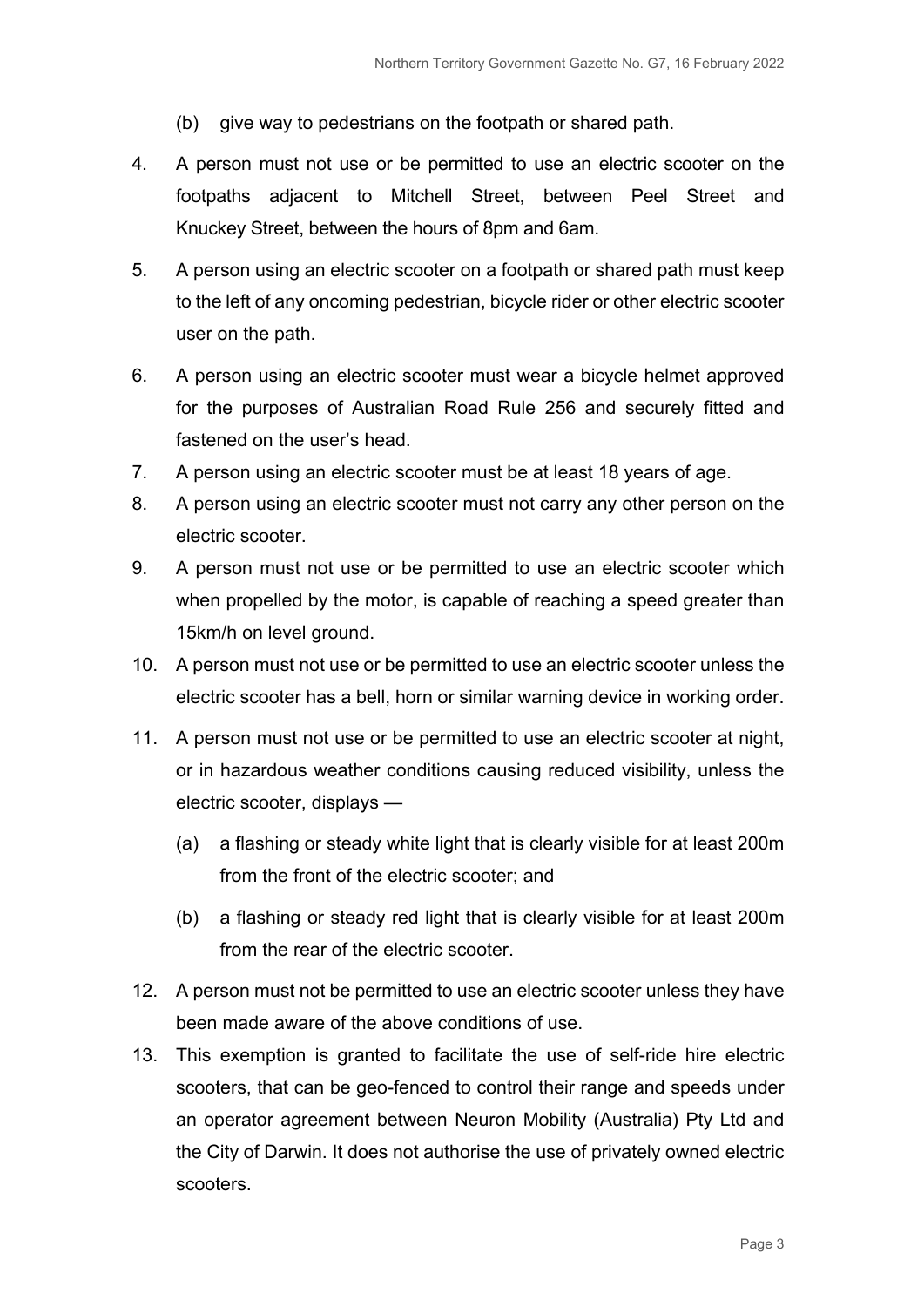- (b) give way to pedestrians on the footpath or shared path.
- 4. A person must not use or be permitted to use an electric scooter on the footpaths adjacent to Mitchell Street, between Peel Street and Knuckey Street, between the hours of 8pm and 6am.
- 5. A person using an electric scooter on a footpath or shared path must keep to the left of any oncoming pedestrian, bicycle rider or other electric scooter user on the path.
- 6. A person using an electric scooter must wear a bicycle helmet approved for the purposes of Australian Road Rule 256 and securely fitted and fastened on the user's head.
- 7. A person using an electric scooter must be at least 18 years of age.
- 8. A person using an electric scooter must not carry any other person on the electric scooter.
- 9. A person must not use or be permitted to use an electric scooter which when propelled by the motor, is capable of reaching a speed greater than 15km/h on level ground.
- 10. A person must not use or be permitted to use an electric scooter unless the electric scooter has a bell, horn or similar warning device in working order.
- 11. A person must not use or be permitted to use an electric scooter at night, or in hazardous weather conditions causing reduced visibility, unless the electric scooter, displays —
	- (a) a flashing or steady white light that is clearly visible for at least 200m from the front of the electric scooter; and
	- (b) a flashing or steady red light that is clearly visible for at least 200m from the rear of the electric scooter.
- 12. A person must not be permitted to use an electric scooter unless they have been made aware of the above conditions of use.
- 13. This exemption is granted to facilitate the use of self-ride hire electric scooters, that can be geo-fenced to control their range and speeds under an operator agreement between Neuron Mobility (Australia) Pty Ltd and the City of Darwin. It does not authorise the use of privately owned electric scooters.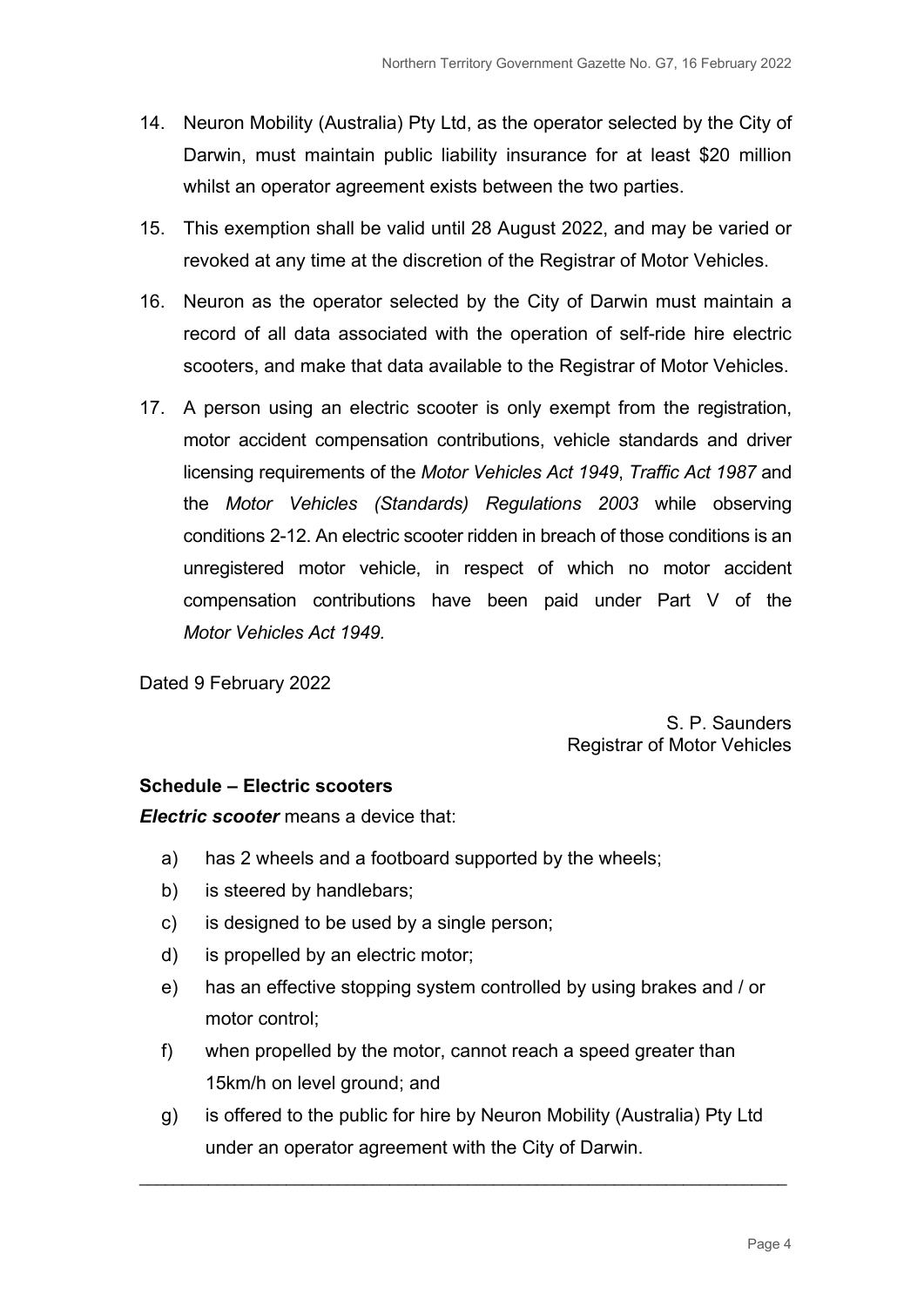- 14. Neuron Mobility (Australia) Pty Ltd, as the operator selected by the City of Darwin, must maintain public liability insurance for at least \$20 million whilst an operator agreement exists between the two parties.
- 15. This exemption shall be valid until 28 August 2022, and may be varied or revoked at any time at the discretion of the Registrar of Motor Vehicles.
- 16. Neuron as the operator selected by the City of Darwin must maintain a record of all data associated with the operation of self-ride hire electric scooters, and make that data available to the Registrar of Motor Vehicles.
- 17. A person using an electric scooter is only exempt from the registration, motor accident compensation contributions, vehicle standards and driver licensing requirements of the *Motor Vehicles Act 1949*, *Traffic Act 1987* and the *Motor Vehicles (Standards) Regulations 2003* while observing conditions 2-12. An electric scooter ridden in breach of those conditions is an unregistered motor vehicle, in respect of which no motor accident compensation contributions have been paid under Part V of the *Motor Vehicles Act 1949.*

Dated 9 February 2022

S. P. Saunders Registrar of Motor Vehicles

#### **Schedule – Electric scooters**

*Electric scooter* means a device that:

- a) has 2 wheels and a footboard supported by the wheels;
- b) is steered by handlebars;
- c) is designed to be used by a single person;
- d) is propelled by an electric motor;
- e) has an effective stopping system controlled by using brakes and / or motor control;
- f) when propelled by the motor, cannot reach a speed greater than 15km/h on level ground; and
- g) is offered to the public for hire by Neuron Mobility (Australia) Pty Ltd under an operator agreement with the City of Darwin.

\_\_\_\_\_\_\_\_\_\_\_\_\_\_\_\_\_\_\_\_\_\_\_\_\_\_\_\_\_\_\_\_\_\_\_\_\_\_\_\_\_\_\_\_\_\_\_\_\_\_\_\_\_\_\_\_\_\_\_\_\_\_\_\_\_\_\_\_\_\_\_\_\_\_\_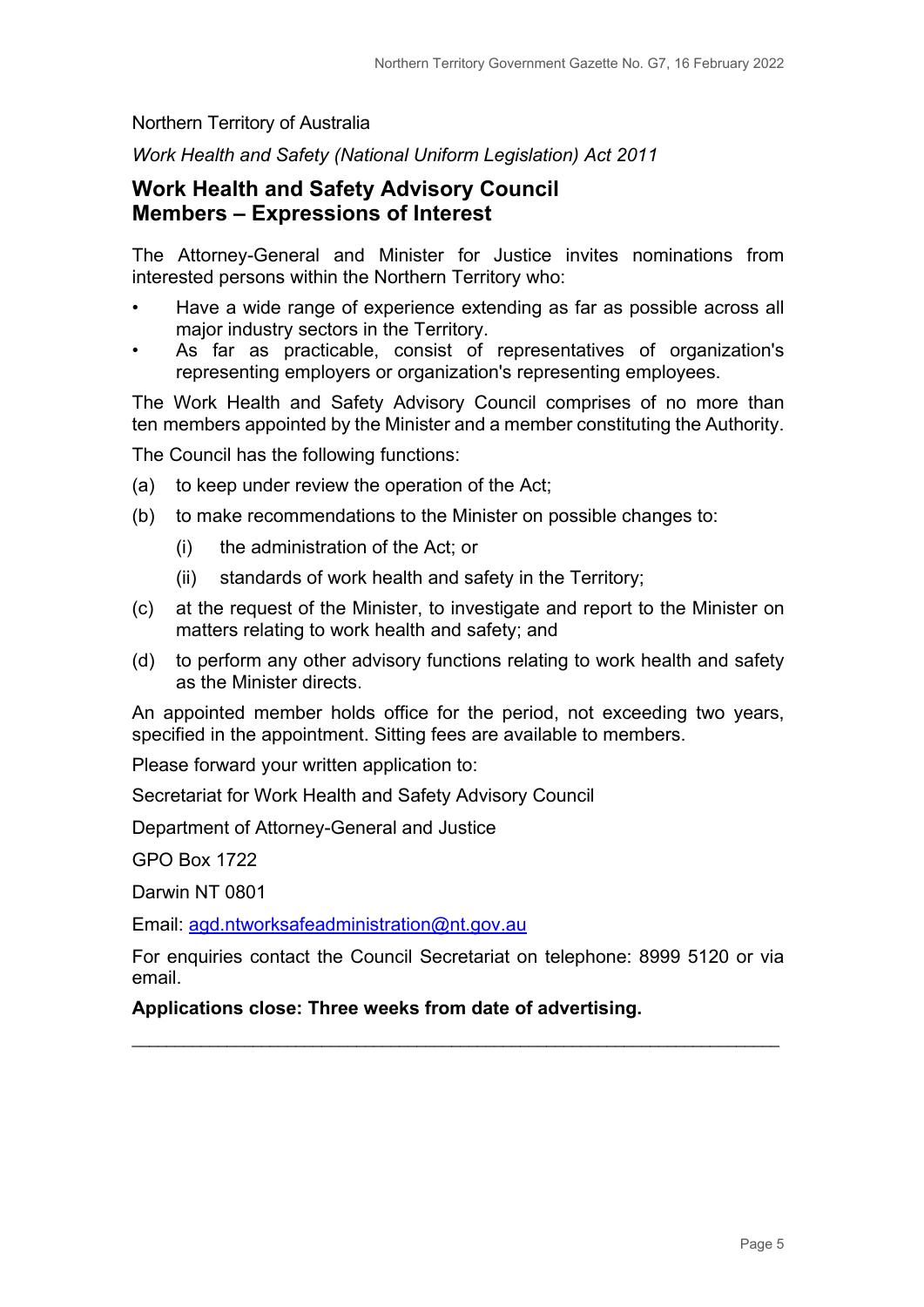#### Northern Territory of Australia

*Work Health and Safety (National Uniform Legislation) Act 2011*

### **Work Health and Safety Advisory Council Members – Expressions of Interest**

The Attorney-General and Minister for Justice invites nominations from interested persons within the Northern Territory who:

- Have a wide range of experience extending as far as possible across all major industry sectors in the Territory.
- As far as practicable, consist of representatives of organization's representing employers or organization's representing employees.

The Work Health and Safety Advisory Council comprises of no more than ten members appointed by the Minister and a member constituting the Authority.

The Council has the following functions:

- (a) to keep under review the operation of the Act;
- (b) to make recommendations to the Minister on possible changes to:
	- (i) the administration of the Act; or
	- (ii) standards of work health and safety in the Territory;
- (c) at the request of the Minister, to investigate and report to the Minister on matters relating to work health and safety; and
- (d) to perform any other advisory functions relating to work health and safety as the Minister directs.

An appointed member holds office for the period, not exceeding two years, specified in the appointment. Sitting fees are available to members.

Please forward your written application to:

Secretariat for Work Health and Safety Advisory Council

Department of Attorney-General and Justice

GPO Box 1722

Darwin NT 0801

Email: [agd.ntworksafeadministration@nt.gov.au](mailto:agd.ntworksafeadministration@nt.gov.au)

For enquiries contact the Council Secretariat on telephone: 8999 5120 or via email.

\_\_\_\_\_\_\_\_\_\_\_\_\_\_\_\_\_\_\_\_\_\_\_\_\_\_\_\_\_\_\_\_\_\_\_\_\_\_\_\_\_\_\_\_\_\_\_\_\_\_\_\_\_\_\_\_\_\_\_\_\_\_\_\_\_\_\_\_\_\_\_\_\_\_\_

**Applications close: Three weeks from date of advertising.**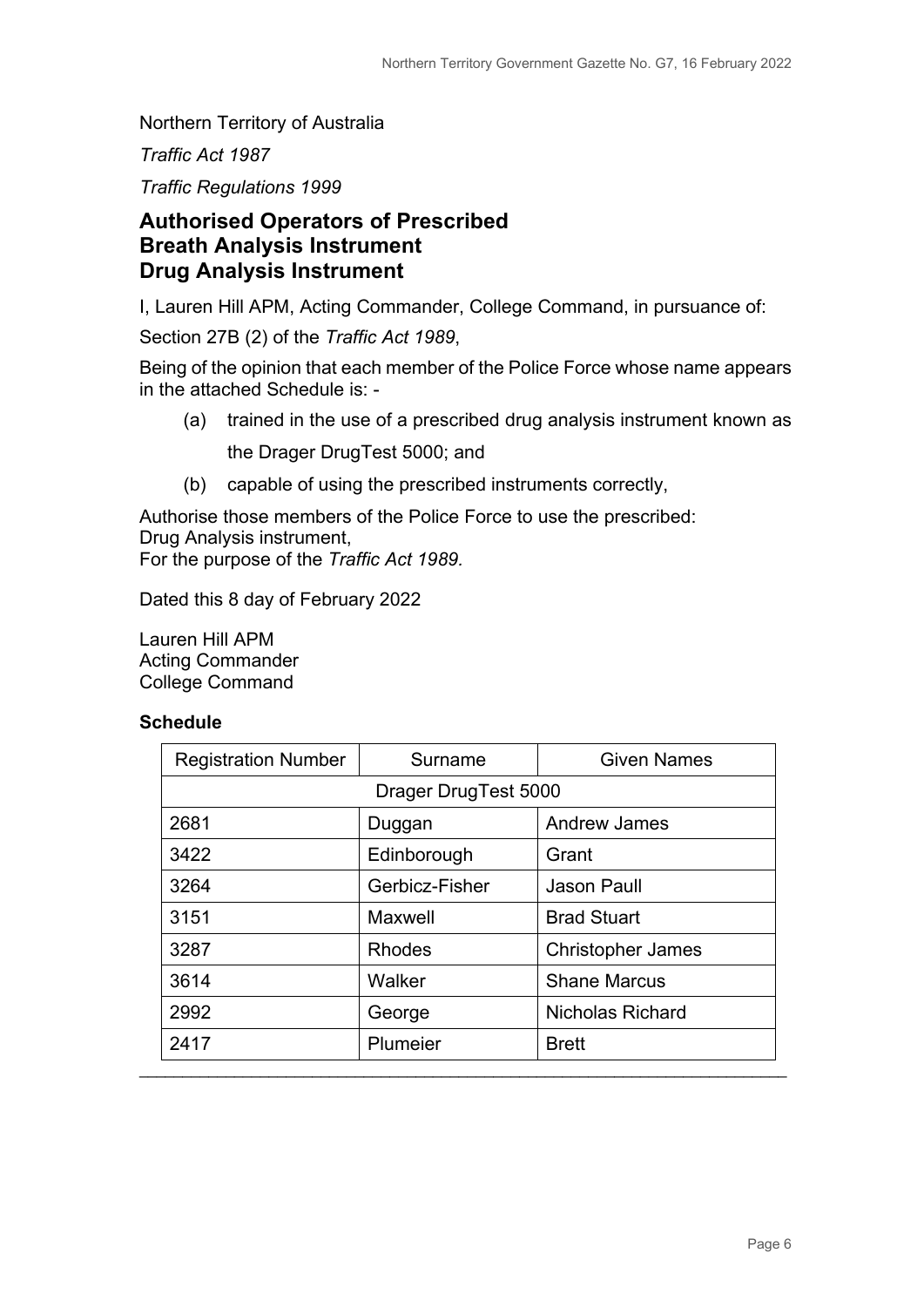Northern Territory of Australia

*Traffic Act 1987*

*Traffic Regulations 1999*

### **Authorised Operators of Prescribed Breath Analysis Instrument Drug Analysis Instrument**

I, Lauren Hill APM, Acting Commander, College Command, in pursuance of:

Section 27B (2) of the *Traffic Act 1989*,

Being of the opinion that each member of the Police Force whose name appears in the attached Schedule is: -

- (a) trained in the use of a prescribed drug analysis instrument known as the Drager DrugTest 5000; and
- (b) capable of using the prescribed instruments correctly,

Authorise those members of the Police Force to use the prescribed: Drug Analysis instrument, For the purpose of the *Traffic Act 1989.*

Dated this 8 day of February 2022

Lauren Hill APM Acting Commander College Command

#### **Schedule**

| Surname              | <b>Given Names</b>       |
|----------------------|--------------------------|
| Drager DrugTest 5000 |                          |
| Duggan               | <b>Andrew James</b>      |
| Edinborough          | Grant                    |
| Gerbicz-Fisher       | Jason Paull              |
| Maxwell              | <b>Brad Stuart</b>       |
| <b>Rhodes</b>        | <b>Christopher James</b> |
| Walker               | <b>Shane Marcus</b>      |
| George               | <b>Nicholas Richard</b>  |
| Plumeier             | <b>Brett</b>             |
|                      |                          |